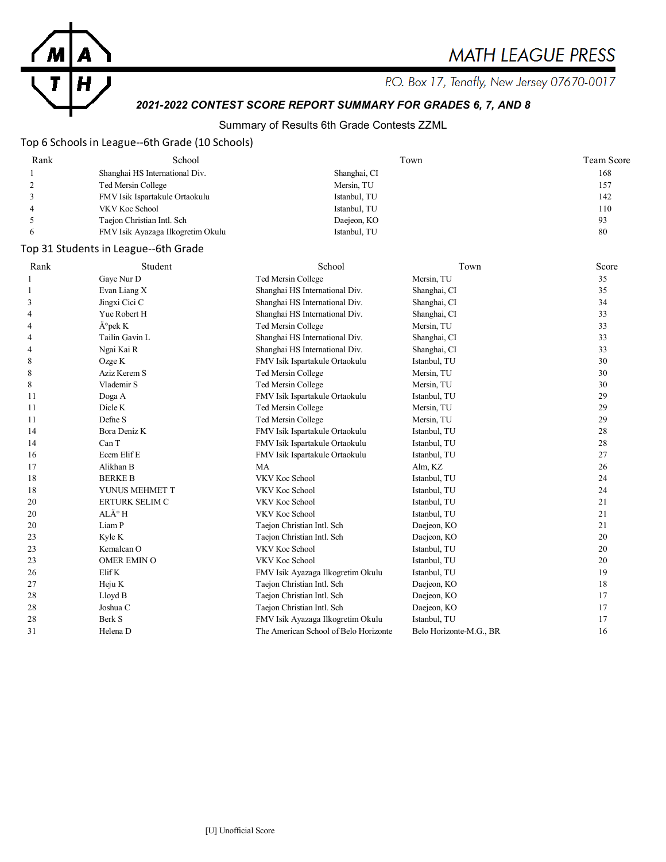

P.O. Box 17, Tenafly, New Jersey 07670-0017

# *2021-2022 CONTEST SCORE REPORT SUMMARY FOR GRADES 6, 7, AND 8*

## Summary of Results 6th Grade Contests ZZML

## Top 6 Schools in League--6th Grade (10 Schools)

| Rank | School                            | Town         | Team Score |
|------|-----------------------------------|--------------|------------|
|      | Shanghai HS International Div.    | Shanghai, CI | 168        |
|      | Ted Mersin College                | Mersin, TU   | 157        |
|      | FMV Isik Ispartakule Ortaokulu    | Istanbul, TU | 142        |
|      | VKV Koc School                    | Istanbul, TU | 110        |
|      | Taejon Christian Intl. Sch        | Daejeon, KO  | 93         |
|      | FMV Isik Ayazaga Ilkogretim Okulu | Istanbul, TU | 80         |

## Top 31 Students in League--6th Grade

| Rank | Student                  | School                                | Town                    | Score |
|------|--------------------------|---------------------------------------|-------------------------|-------|
|      | Gaye Nur D               | Ted Mersin College                    | Mersin, TU              | 35    |
|      | Evan Liang X             | Shanghai HS International Div.        | Shanghai, CI            | 35    |
| 3    | Jingxi Cici C            | Shanghai HS International Div.        | Shanghai, CI            | 34    |
| 4    | Yue Robert H             | Shanghai HS International Div.        | Shanghai, CI            | 33    |
| 4    | $\ddot{A}^{\circ}$ pek K | Ted Mersin College                    | Mersin, TU              | 33    |
| 4    | Tailin Gavin L           | Shanghai HS International Div.        | Shanghai, CI            | 33    |
| 4    | Ngai Kai R               | Shanghai HS International Div.        | Shanghai, CI            | 33    |
| 8    | Ozge K                   | FMV Isik Ispartakule Ortaokulu        | Istanbul, TU            | 30    |
| 8    | Aziz Kerem S             | Ted Mersin College                    | Mersin, TU              | 30    |
| 8    | Vlademir S               | Ted Mersin College                    | Mersin, TU              | 30    |
| 11   | Doga A                   | FMV Isik Ispartakule Ortaokulu        | Istanbul, TU            | 29    |
| 11   | Dicle K                  | Ted Mersin College                    | Mersin, TU              | 29    |
| 11   | Defne S                  | Ted Mersin College                    | Mersin, TU              | 29    |
| 14   | Bora Deniz K             | FMV Isik Ispartakule Ortaokulu        | Istanbul, TU            | 28    |
| 14   | Can T                    | FMV Isik Ispartakule Ortaokulu        | Istanbul, TU            | 28    |
| 16   | Ecem Elif E              | FMV Isik Ispartakule Ortaokulu        | Istanbul, TU            | 27    |
| 17   | Alikhan B                | <b>MA</b>                             | Alm, KZ                 | 26    |
| 18   | <b>BERKE B</b>           | VKV Koc School                        | Istanbul, TU            | 24    |
| 18   | YUNUS MEHMET T           | VKV Koc School                        | Istanbul, TU            | 24    |
| 20   | ERTURK SELIM C           | VKV Koc School                        | Istanbul, TU            | 21    |
| 20   | $AL\ddot{A}^\circ H$     | VKV Koc School                        | Istanbul, TU            | 21    |
| 20   | Liam P                   | Taejon Christian Intl. Sch            | Daejeon, KO             | 21    |
| 23   | Kyle K                   | Taejon Christian Intl. Sch            | Daejeon, KO             | 20    |
| 23   | Kemalcan O               | VKV Koc School                        | Istanbul, TU            | 20    |
| 23   | OMER EMIN O              | VKV Koc School                        | Istanbul, TU            | 20    |
| 26   | Elif K                   | FMV Isik Ayazaga Ilkogretim Okulu     | Istanbul, TU            | 19    |
| 27   | Heju K                   | Taejon Christian Intl. Sch            | Daejeon, KO             | 18    |
| 28   | Lloyd B                  | Taejon Christian Intl. Sch            | Daejeon, KO             | 17    |
| 28   | Joshua C                 | Taejon Christian Intl. Sch            | Daejeon, KO             | 17    |
| 28   | Berk S                   | FMV Isik Ayazaga Ilkogretim Okulu     | Istanbul, TU            | 17    |
| 31   | Helena D                 | The American School of Belo Horizonte | Belo Horizonte-M.G., BR | 16    |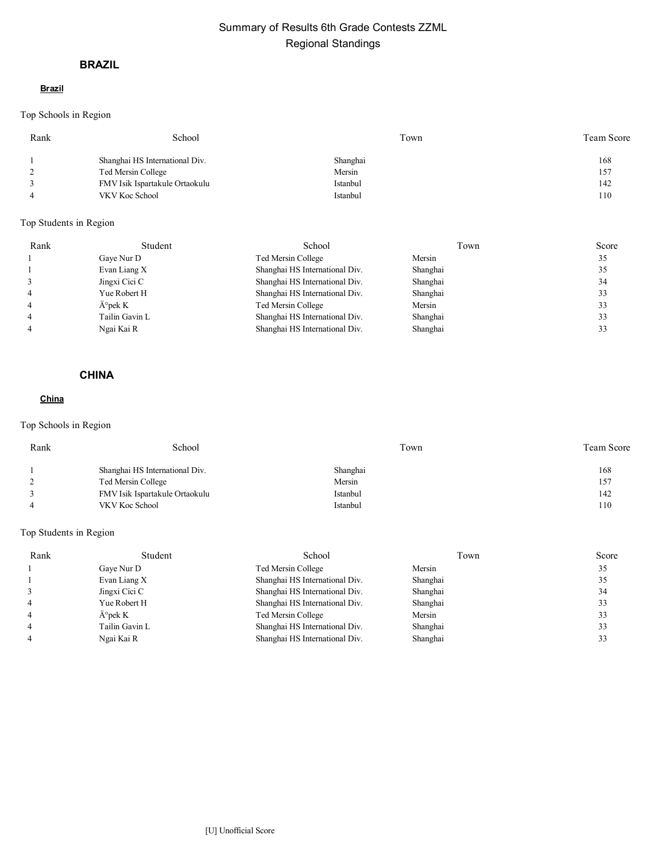# Summary of Results 6th Grade Contests ZZML Regional Standings

## **BRAZIL**

#### **Brazil**

Top Schools in Region

| Rank | School                         | Town     | Team Score |
|------|--------------------------------|----------|------------|
|      | Shanghai HS International Div. | Shanghai | 168        |
|      | Ted Mersin College             | Mersin   | 157        |
|      | FMV Isik Ispartakule Ortaokulu | Istanbul | 142        |
|      | VKV Koc School                 | Istanbul | 110        |
|      |                                |          |            |

## Top Students in Region

| Rank | Student                  | School                         | Town     | Score |
|------|--------------------------|--------------------------------|----------|-------|
|      | Gaye Nur D               | Ted Mersin College             | Mersin   | 35    |
|      | Evan Liang X             | Shanghai HS International Div. | Shanghai | 35    |
|      | Jingxi Cici C            | Shanghai HS International Div. | Shanghai | 34    |
|      | Yue Robert H             | Shanghai HS International Div. | Shanghai | 33    |
|      | $\ddot{A}^{\circ}$ pek K | Ted Mersin College             | Mersin   | 33    |
|      | Tailin Gavin L           | Shanghai HS International Div. | Shanghai | 33    |
|      | Ngai Kai R               | Shanghai HS International Div. | Shanghai | 33    |

## **CHINA**

### **China**

## Top Schools in Region

| Rank | School                         | Town     | <b>Team Score</b> |
|------|--------------------------------|----------|-------------------|
|      | Shanghai HS International Div. | Shanghai | 168               |
|      | Ted Mersin College             | Mersin   | 157               |
|      | FMV Isik Ispartakule Ortaokulu | Istanbul | 142               |
|      | VKV Koc School                 | Istanbul | 110               |

| Rank | Student          | School                         | Town     | Score |
|------|------------------|--------------------------------|----------|-------|
|      | Gaye Nur D       | Ted Mersin College             | Mersin   | 35    |
|      | Evan Liang X     | Shanghai HS International Div. | Shanghai | 35    |
|      | Jingxi Cici C    | Shanghai HS International Div. | Shanghai | 34    |
|      | Yue Robert H     | Shanghai HS International Div. | Shanghai | 33    |
|      | $\rm \AA$ °pek K | Ted Mersin College             | Mersin   | 33    |
|      | Tailin Gavin L   | Shanghai HS International Div. | Shanghai | 33    |
|      | Ngai Kai R       | Shanghai HS International Div. | Shanghai | 33    |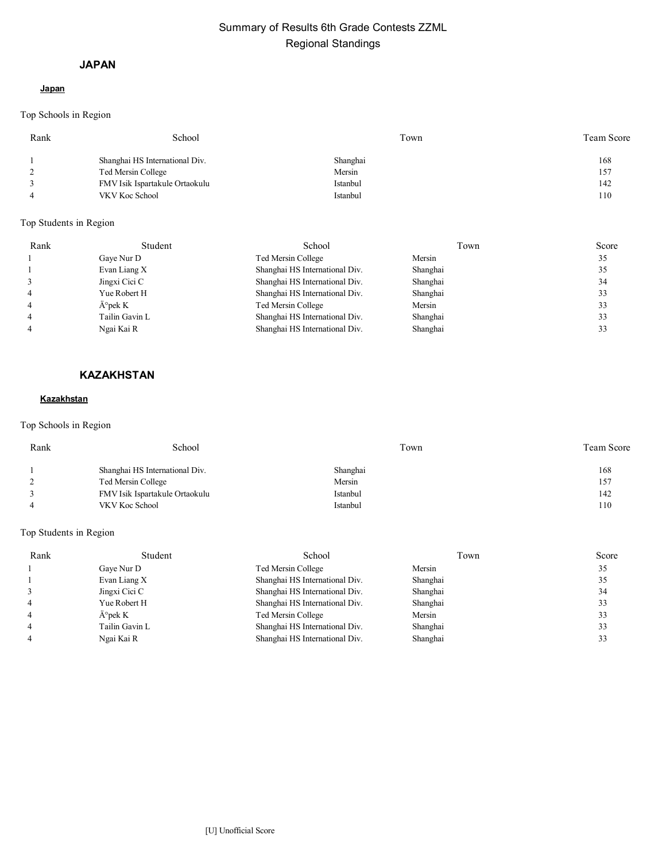# Summary of Results 6th Grade Contests ZZML Regional Standings

#### **JAPAN**

### **Japan**

Top Schools in Region

| Rank | School                         | Town     | Team Score |
|------|--------------------------------|----------|------------|
|      | Shanghai HS International Div. | Shanghai | 168        |
|      | Ted Mersin College             | Mersin   | 157        |
|      | FMV Isik Ispartakule Ortaokulu | Istanbul | 142        |
|      | VKV Koc School                 | Istanbul | 110        |

## Top Students in Region

| Rank | Student           | School                         | Town     | Score |
|------|-------------------|--------------------------------|----------|-------|
|      | Gaye Nur D        | Ted Mersin College             | Mersin   | 35    |
|      | Evan Liang X      | Shanghai HS International Div. | Shanghai | 35    |
|      | Jingxi Cici C     | Shanghai HS International Div. | Shanghai | 34    |
|      | Yue Robert H      | Shanghai HS International Div. | Shanghai | 33    |
|      | $A^{\circ}$ pek K | Ted Mersin College             | Mersin   | 33    |
|      | Tailin Gavin L    | Shanghai HS International Div. | Shanghai | 33    |
|      | Ngai Kai R        | Shanghai HS International Div. | Shanghai |       |

## **KAZAKHSTAN**

#### **Kazakhstan**

## Top Schools in Region

| Rank | School                         | Town     | <b>Team Score</b> |
|------|--------------------------------|----------|-------------------|
|      | Shanghai HS International Div. | Shanghai | 168               |
|      | Ted Mersin College             | Mersin   | 157               |
|      | FMV Isik Ispartakule Ortaokulu | Istanbul | 142               |
|      | VKV Koc School                 | Istanbul | 110               |

| Rank | Student          | School                         | Town     | Score |
|------|------------------|--------------------------------|----------|-------|
|      | Gaye Nur D       | Ted Mersin College             | Mersin   | 35    |
|      | Evan Liang X     | Shanghai HS International Div. | Shanghai | 35    |
|      | Jingxi Cici C    | Shanghai HS International Div. | Shanghai | 34    |
|      | Yue Robert H     | Shanghai HS International Div. | Shanghai | 33    |
|      | $\rm \AA$ °pek K | Ted Mersin College             | Mersin   | 33    |
|      | Tailin Gavin L   | Shanghai HS International Div. | Shanghai | 33    |
|      | Ngai Kai R       | Shanghai HS International Div. | Shanghai |       |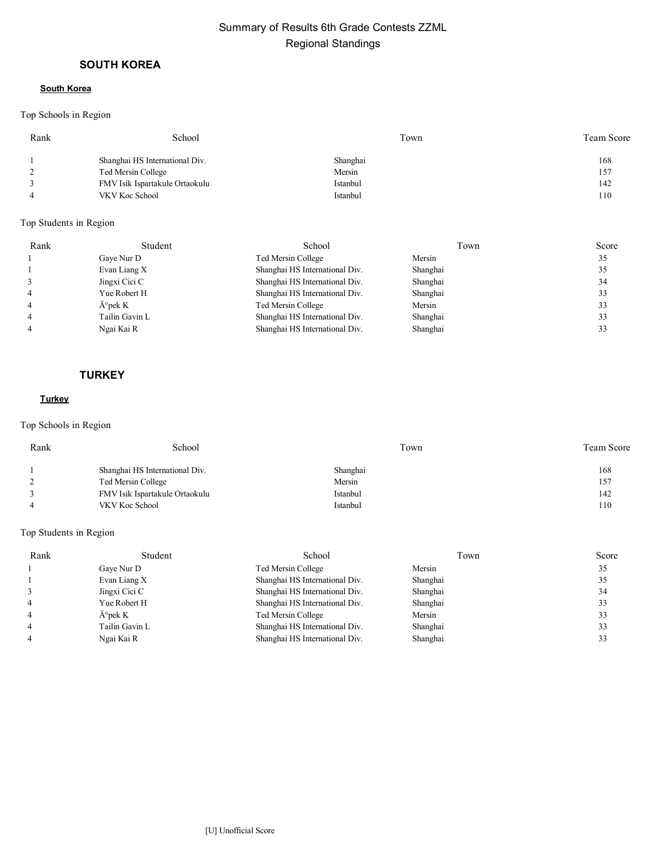# Summary of Results 6th Grade Contests ZZML Regional Standings

## **SOUTH KOREA**

#### **South Korea**

## Top Schools in Region

| Rank | School                         | Town     | Team Score |
|------|--------------------------------|----------|------------|
|      | Shanghai HS International Div. | Shanghai | 168        |
|      | Ted Mersin College             | Mersin   | 157        |
|      | FMV Isik Ispartakule Ortaokulu | Istanbul | 142        |
|      | VKV Koc School                 | Istanbul | 110        |
|      |                                |          |            |

## Top Students in Region

| Rank | Student           | School                         | Town     | Score |
|------|-------------------|--------------------------------|----------|-------|
|      | Gaye Nur D        | Ted Mersin College             | Mersin   | 35    |
|      | Evan Liang X      | Shanghai HS International Div. | Shanghai | 35    |
|      | Jingxi Cici C     | Shanghai HS International Div. | Shanghai | 34    |
|      | Yue Robert H      | Shanghai HS International Div. | Shanghai | 33    |
|      | $A^{\circ}$ pek K | Ted Mersin College             | Mersin   | 33    |
|      | Tailin Gavin L    | Shanghai HS International Div. | Shanghai | 33    |
|      | Ngai Kai R        | Shanghai HS International Div. | Shanghai | 33    |

### **TURKEY**

#### **Turkey**

## Top Schools in Region

| Rank | School                         | Town     | <b>Team Score</b> |
|------|--------------------------------|----------|-------------------|
|      | Shanghai HS International Div. | Shanghai | 168               |
|      | Ted Mersin College             | Mersin   | 157               |
|      | FMV Isik Ispartakule Ortaokulu | Istanbul | 142               |
|      | VKV Koc School                 | Istanbul | 110               |

| Rank | Student          | School                         | Town     | Score |
|------|------------------|--------------------------------|----------|-------|
|      | Gaye Nur D       | Ted Mersin College             | Mersin   | 35    |
|      | Evan Liang X     | Shanghai HS International Div. | Shanghai | 35    |
|      | Jingxi Cici C    | Shanghai HS International Div. | Shanghai | 34    |
|      | Yue Robert H     | Shanghai HS International Div. | Shanghai | 33    |
|      | $\rm \AA$ °pek K | Ted Mersin College             | Mersin   | 33    |
|      | Tailin Gavin L   | Shanghai HS International Div. | Shanghai | 33    |
|      | Ngai Kai R       | Shanghai HS International Div. | Shanghai | 33    |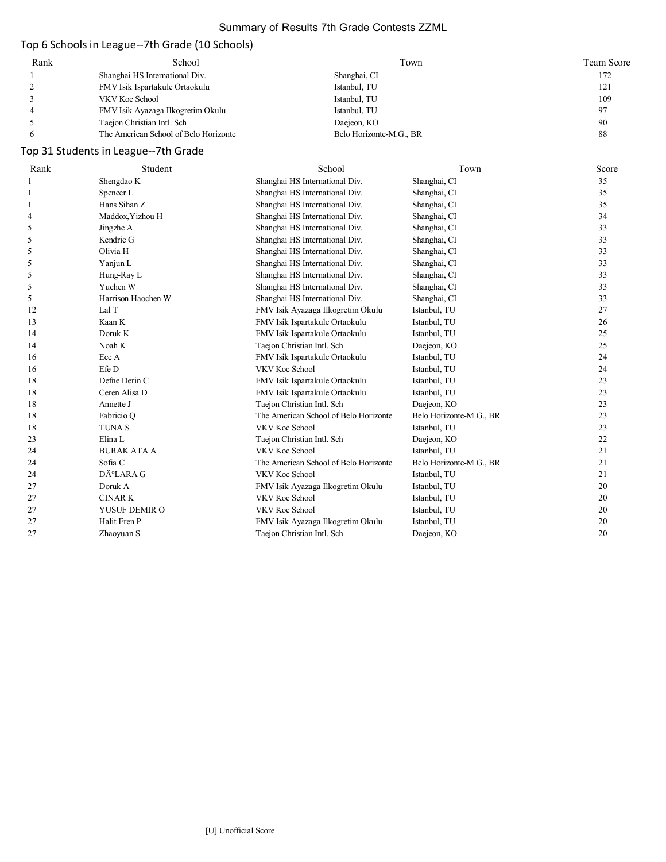# Summary of Results 7th Grade Contests ZZML

# Top 6 Schools in League--7th Grade (10 Schools)

| Rank | School                                | Town                    | Team Score |
|------|---------------------------------------|-------------------------|------------|
|      | Shanghai HS International Div.        | Shanghai, CI            | 172        |
|      | FMV Isik Ispartakule Ortaokulu        | Istanbul, TU            | 121        |
|      | VKV Koc School                        | Istanbul, TU            | 109        |
|      | FMV Isik Ayazaga Ilkogretim Okulu     | Istanbul, TU            | 97         |
|      | Taejon Christian Intl. Sch            | Daejeon, KO             | 90         |
|      | The American School of Belo Horizonte | Belo Horizonte-M.G., BR | 88         |

# Top 31 Students in League--7th Grade

| Rank | Student                | School                                | Town                    | Score |
|------|------------------------|---------------------------------------|-------------------------|-------|
|      | Shengdao K             | Shanghai HS International Div.        | Shanghai, CI            | 35    |
|      | Spencer L              | Shanghai HS International Div.        | Shanghai, CI            | 35    |
|      | Hans Sihan Z           | Shanghai HS International Div.        | Shanghai, CI            | 35    |
| 4    | Maddox, Yizhou H       | Shanghai HS International Div.        | Shanghai, CI            | 34    |
| 5    | Jingzhe A              | Shanghai HS International Div.        | Shanghai, CI            | 33    |
| 5    | Kendric G              | Shanghai HS International Div.        | Shanghai, CI            | 33    |
| 5    | Olivia H               | Shanghai HS International Div.        | Shanghai, CI            | 33    |
| 5    | Yanjun L               | Shanghai HS International Div.        | Shanghai, CI            | 33    |
| 5    | Hung-Ray L             | Shanghai HS International Div.        | Shanghai, CI            | 33    |
| 5    | Yuchen W               | Shanghai HS International Div.        | Shanghai, CI            | 33    |
| 5    | Harrison Haochen W     | Shanghai HS International Div.        | Shanghai, CI            | 33    |
| 12   | Lal T                  | FMV Isik Ayazaga Ilkogretim Okulu     | Istanbul, TU            | 27    |
| 13   | Kaan K                 | FMV Isik Ispartakule Ortaokulu        | Istanbul, TU            | 26    |
| 14   | Doruk K                | FMV Isik Ispartakule Ortaokulu        | Istanbul, TU            | 25    |
| 14   | Noah K                 | Taejon Christian Intl. Sch            | Daejeon, KO             | 25    |
| 16   | Ece A                  | FMV Isik Ispartakule Ortaokulu        | Istanbul, TU            | 24    |
| 16   | Efe D                  | VKV Koc School                        | Istanbul, TU            | 24    |
| 18   | Defne Derin C          | FMV Isik Ispartakule Ortaokulu        | Istanbul, TU            | 23    |
| 18   | Ceren Alisa D          | FMV Isik Ispartakule Ortaokulu        | Istanbul, TU            | 23    |
| 18   | Annette J              | Taejon Christian Intl. Sch            | Daejeon, KO             | 23    |
| 18   | Fabricio Q             | The American School of Belo Horizonte | Belo Horizonte-M.G., BR | 23    |
| 18   | <b>TUNAS</b>           | VKV Koc School                        | Istanbul, TU            | 23    |
| 23   | Elina L                | Taejon Christian Intl. Sch            | Daejeon, KO             | 22    |
| 24   | <b>BURAK ATA A</b>     | VKV Koc School                        | Istanbul, TU            | 21    |
| 24   | Sofia C                | The American School of Belo Horizonte | Belo Horizonte-M.G., BR | 21    |
| 24   | DÄ <sup>°</sup> LARA G | VKV Koc School                        | Istanbul, TU            | 21    |
| 27   | Doruk A                | FMV Isik Ayazaga Ilkogretim Okulu     | Istanbul, TU            | 20    |
| 27   | <b>CINARK</b>          | VKV Koc School                        | Istanbul, TU            | 20    |
| 27   | YUSUF DEMIR O          | VKV Koc School                        | Istanbul, TU            | 20    |
| 27   | Halit Eren P           | FMV Isik Ayazaga Ilkogretim Okulu     | Istanbul, TU            | 20    |
| 27   | Zhaoyuan S             | Taejon Christian Intl. Sch            | Daejeon, KO             | 20    |
|      |                        |                                       |                         |       |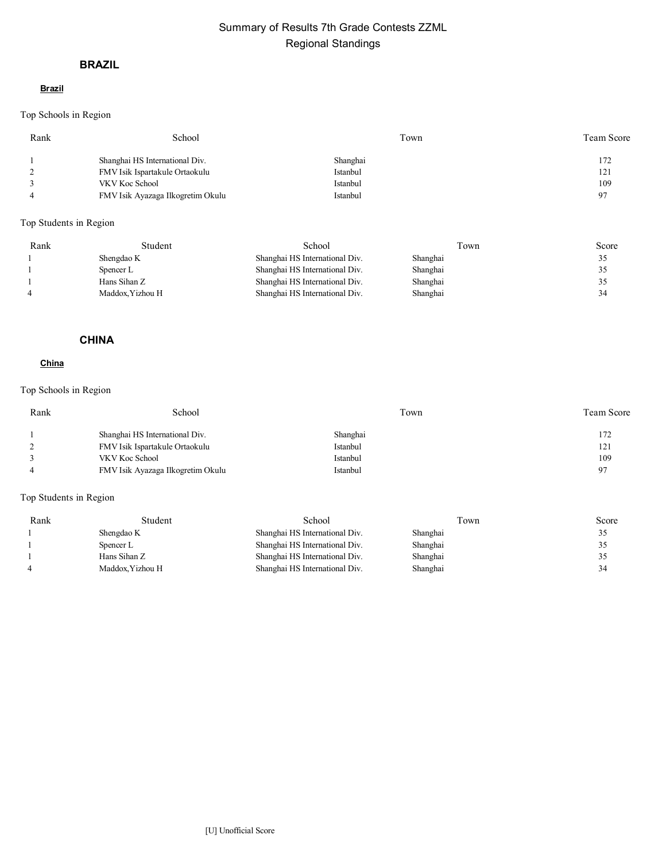# Summary of Results 7th Grade Contests ZZML Regional Standings

## **BRAZIL**

#### **Brazil**

Top Schools in Region

| Rank | School                            | Town     | Team Score |
|------|-----------------------------------|----------|------------|
|      | Shanghai HS International Div.    | Shanghai | 172        |
|      | FMV Isik Ispartakule Ortaokulu    | Istanbul | 121        |
|      | VKV Koc School                    | Istanbul | 109        |
|      | FMV Isik Ayazaga Ilkogretim Okulu | Istanbul | 97         |
|      |                                   |          |            |

Top Students in Region

| Rank | Student          | School                         | Fown     | Score |
|------|------------------|--------------------------------|----------|-------|
|      | Shengdao K       | Shanghai HS International Div. | Shanghai | 32    |
|      | Spencer L        | Shanghai HS International Div. | Shanghai | 32    |
|      | Hans Sihan Z     | Shanghai HS International Div. | Shanghai | J.    |
|      | Maddox. Yizhou H | Shanghai HS International Div. | Shanghai | 34    |

### **CHINA**

### **China**

## Top Schools in Region

| Rank | School                            | Town     | <b>Team Score</b> |
|------|-----------------------------------|----------|-------------------|
|      | Shanghai HS International Div.    | Shanghai | 172               |
|      | FMV Isik Ispartakule Ortaokulu    | Istanbul | 121               |
|      | VKV Koc School                    | Istanbul | 109               |
|      | FMV Isik Ayazaga Ilkogretim Okulu | Istanbul | 97                |
|      |                                   |          |                   |

| Rank | Student          | School                         | l`own    | Score |
|------|------------------|--------------------------------|----------|-------|
|      | Shengdao K       | Shanghai HS International Div. | Shanghai | ں ر   |
|      | Spencer L        | Shanghai HS International Div. | Shanghai | . ب   |
|      | Hans Sihan Z     | Shanghai HS International Div. | Shanghai | . د   |
|      | Maddox. Yizhou H | Shanghai HS International Div. | Shanghai | 34    |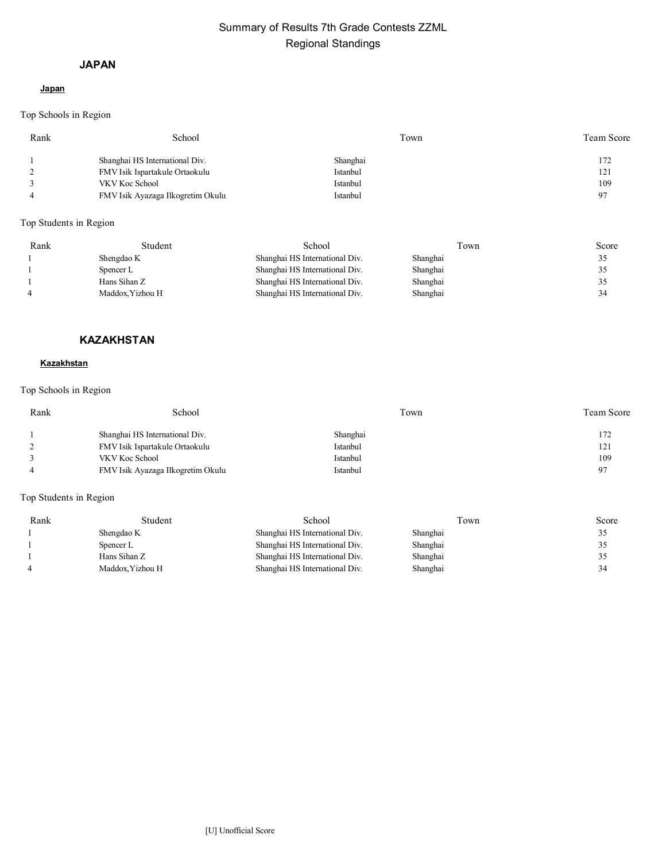# Summary of Results 7th Grade Contests ZZML Regional Standings

#### **JAPAN**

### **Japan**

Top Schools in Region

| Rank | School                            | Town     | Team Score |
|------|-----------------------------------|----------|------------|
|      | Shanghai HS International Div.    | Shanghai | 172        |
|      | FMV Isik Ispartakule Ortaokulu    | Istanbul | 121        |
|      | VKV Koc School                    | Istanbul | 109        |
|      | FMV Isik Ayazaga Ilkogretim Okulu | Istanbul | 97         |
|      |                                   |          |            |

Top Students in Region

| Rank | Student         | School                         | Fown     | Score |
|------|-----------------|--------------------------------|----------|-------|
|      | Shengdao K      | Shanghai HS International Div. | Shanghai | 33    |
|      | Spencer L       | Shanghai HS International Div. | Shanghai | 32    |
|      | Hans Sihan Z    | Shanghai HS International Div. | Shanghai | . ر   |
|      | Maddox.Yizhou H | Shanghai HS International Div. | Shanghai | 34    |

### **KAZAKHSTAN**

#### **Kazakhstan**

#### Top Schools in Region

| Rank | School                            | Town     | <b>Team Score</b> |
|------|-----------------------------------|----------|-------------------|
|      | Shanghai HS International Div.    | Shanghai | 172               |
|      | FMV Isik Ispartakule Ortaokulu    | Istanbul | 121               |
|      | VKV Koc School                    | Istanbul | 109               |
|      | FMV Isik Ayazaga Ilkogretim Okulu | Istanbul | 97                |
|      |                                   |          |                   |

| Rank | Student          | School                         | Fown     | Score |
|------|------------------|--------------------------------|----------|-------|
|      | Shengdao K       | Shanghai HS International Div. | Shanghai | ۔ ب   |
|      | Spencer L        | Shanghai HS International Div. | Shanghai | 35    |
|      | Hans Sihan Z     | Shanghai HS International Div. | Shanghai | ۔ ر   |
|      | Maddox. Yizhou H | Shanghai HS International Div. | Shanghai | 34    |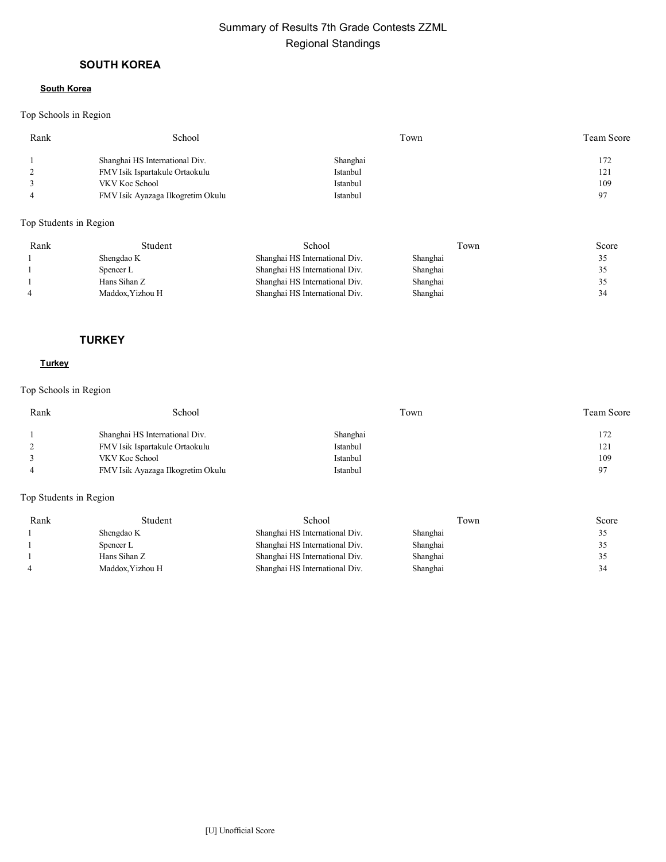# Summary of Results 7th Grade Contests ZZML Regional Standings

## **SOUTH KOREA**

#### **South Korea**

### Top Schools in Region

| Rank | School                            | Town     | Team Score     |
|------|-----------------------------------|----------|----------------|
|      | Shanghai HS International Div.    | Shanghai | 172            |
|      | FMV Isik Ispartakule Ortaokulu    | Istanbul | 121            |
|      | VKV Koc School                    | Istanbul | 109            |
|      | FMV Isik Ayazaga Ilkogretim Okulu | Istanbul | Q <sub>7</sub> |
|      |                                   |          |                |

## Top Students in Region

| Rank | Student         | School                         | Town     | Score |
|------|-----------------|--------------------------------|----------|-------|
|      | Shengdao K      | Shanghai HS International Div. | Shanghai | 35    |
|      | Spencer L       | Shanghai HS International Div. | Shanghai | 35    |
|      | Hans Sihan Z    | Shanghai HS International Div. | Shanghai | 35    |
|      | Maddox.Yizhou H | Shanghai HS International Div. | Shanghai | 34    |

### **TURKEY**

### **Turkey**

## Top Schools in Region

| Rank | School                            | Town     | <b>Team Score</b> |
|------|-----------------------------------|----------|-------------------|
|      | Shanghai HS International Div.    | Shanghai | 172               |
|      | FMV Isik Ispartakule Ortaokulu    | Istanbul | 121               |
|      | VKV Koc School                    | Istanbul | 109               |
|      | FMV Isik Ayazaga Ilkogretim Okulu | Istanbul | 97                |
|      |                                   |          |                   |

| Rank | Student          | School                         | Town     | Score |
|------|------------------|--------------------------------|----------|-------|
|      | Shengdao K       | Shanghai HS International Div. | Shanghai |       |
|      | Spencer L        | Shanghai HS International Div. | Shanghai |       |
|      | Hans Sihan Z     | Shanghai HS International Div. | Shanghai |       |
|      | Maddox. Yizhou H | Shanghai HS International Div. | Shanghai | 34    |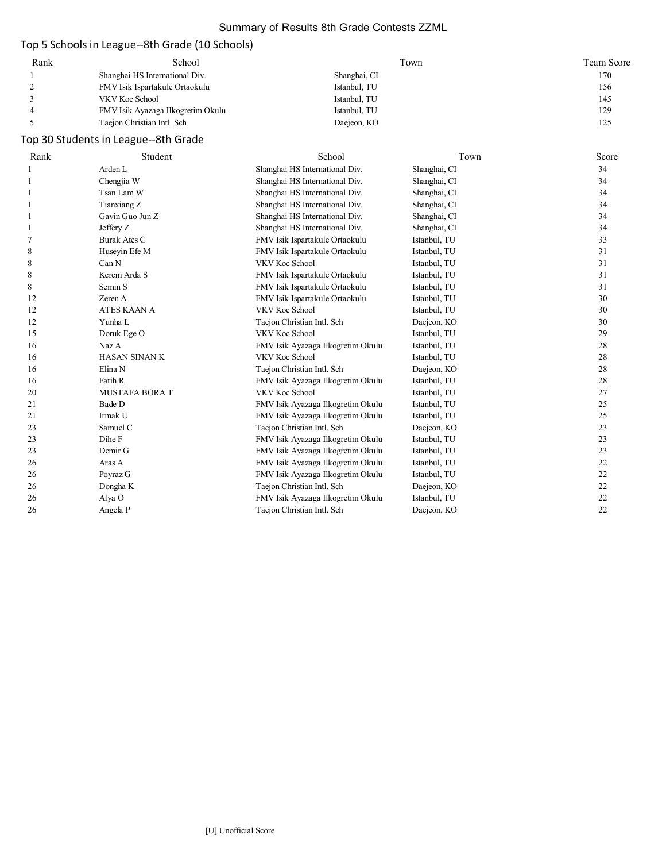## Summary of Results 8th Grade Contests ZZML

# Top 5 Schools in League--8th Grade (10 Schools)

| Rank | School                            | Town         | Team Score |
|------|-----------------------------------|--------------|------------|
|      | Shanghai HS International Div.    | Shanghai, CI | 170        |
|      | FMV Isik Ispartakule Ortaokulu    | Istanbul, TU | 156        |
|      | VKV Koc School                    | Istanbul, TU | 145        |
|      | FMV Isik Ayazaga Ilkogretim Okulu | Istanbul, TU | 129        |
|      | Taejon Christian Intl. Sch        | Daejeon, KO  | 125        |

# Top 30 Students in League--8th Grade

| Rank | Student               | School                            | Town         | Score |
|------|-----------------------|-----------------------------------|--------------|-------|
|      | Arden L               | Shanghai HS International Div.    | Shanghai, CI | 34    |
| 1    | Chengjia W            | Shanghai HS International Div.    | Shanghai, CI | 34    |
| 1    | Tsan Lam W            | Shanghai HS International Div.    | Shanghai, CI | 34    |
| 1    | Tianxiang Z           | Shanghai HS International Div.    | Shanghai, CI | 34    |
|      | Gavin Guo Jun Z       | Shanghai HS International Div.    | Shanghai, CI | 34    |
| 1    | Jeffery Z             | Shanghai HS International Div.    | Shanghai, CI | 34    |
| 7    | <b>Burak Ates C</b>   | FMV Isik Ispartakule Ortaokulu    | Istanbul, TU | 33    |
| 8    | Huseyin Efe M         | FMV Isik Ispartakule Ortaokulu    | Istanbul, TU | 31    |
| 8    | Can N                 | VKV Koc School                    | Istanbul, TU | 31    |
| 8    | Kerem Arda S          | FMV Isik Ispartakule Ortaokulu    | Istanbul, TU | 31    |
| 8    | Semin <sub>S</sub>    | FMV Isik Ispartakule Ortaokulu    | Istanbul, TU | 31    |
| 12   | Zeren A               | FMV Isik Ispartakule Ortaokulu    | Istanbul, TU | 30    |
| 12   | <b>ATES KAAN A</b>    | VKV Koc School                    | Istanbul, TU | 30    |
| 12   | Yunha L               | Taejon Christian Intl. Sch        | Daejeon, KO  | 30    |
| 15   | Doruk Ege O           | VKV Koc School                    | Istanbul, TU | 29    |
| 16   | Naz A                 | FMV Isik Ayazaga Ilkogretim Okulu | Istanbul, TU | 28    |
| 16   | <b>HASAN SINAN K</b>  | VKV Koc School                    | Istanbul, TU | 28    |
| 16   | Elina N               | Taejon Christian Intl. Sch        | Daejeon, KO  | 28    |
| 16   | Fatih R               | FMV Isik Ayazaga Ilkogretim Okulu | Istanbul, TU | 28    |
| 20   | <b>MUSTAFA BORA T</b> | VKV Koc School                    | Istanbul, TU | 27    |
| 21   | Bade D                | FMV Isik Ayazaga Ilkogretim Okulu | Istanbul, TU | 25    |
| 21   | Irmak U               | FMV Isik Ayazaga Ilkogretim Okulu | Istanbul, TU | 25    |
| 23   | Samuel C              | Taejon Christian Intl. Sch        | Daejeon, KO  | 23    |
| 23   | Dihe F                | FMV Isik Ayazaga Ilkogretim Okulu | Istanbul, TU | 23    |
| 23   | Demir G               | FMV Isik Ayazaga Ilkogretim Okulu | Istanbul, TU | 23    |
| 26   | Aras A                | FMV Isik Ayazaga Ilkogretim Okulu | Istanbul, TU | 22    |
| 26   | Poyraz G              | FMV Isik Ayazaga Ilkogretim Okulu | Istanbul, TU | 22    |
| 26   | Dongha K              | Taejon Christian Intl. Sch        | Daejeon, KO  | 22    |
| 26   | Alya O                | FMV Isik Ayazaga Ilkogretim Okulu | Istanbul, TU | 22    |
| 26   | Angela P              | Taejon Christian Intl. Sch        | Daejeon, KO  | 22    |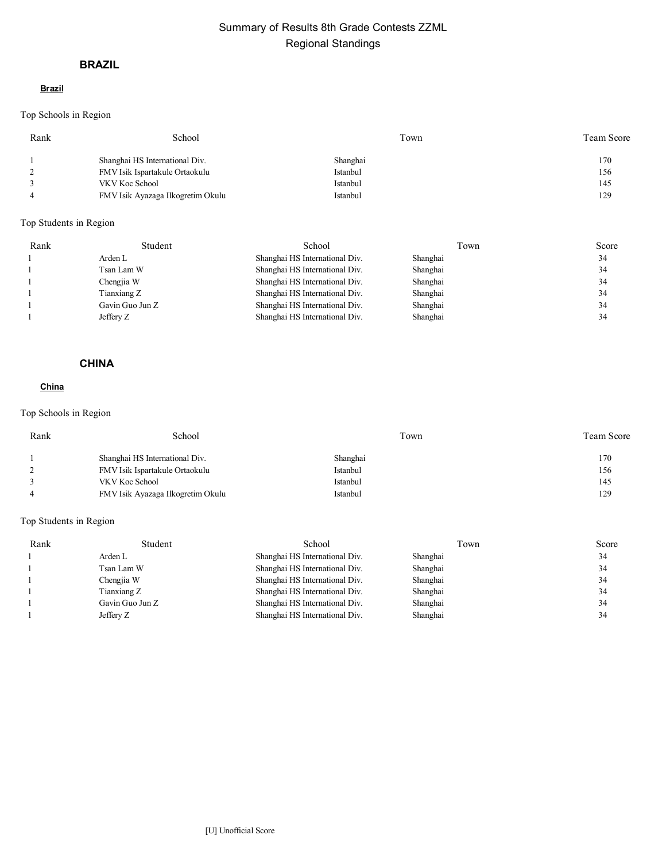# Summary of Results 8th Grade Contests ZZML Regional Standings

## **BRAZIL**

#### **Brazil**

Top Schools in Region

| Rank | School                            | Town     | Team Score |
|------|-----------------------------------|----------|------------|
|      | Shanghai HS International Div.    | Shanghai | 170        |
|      | FMV Isik Ispartakule Ortaokulu    | Istanbul | 156        |
|      | VKV Koc School                    | Istanbul | 145        |
|      | FMV Isik Ayazaga Ilkogretim Okulu | Istanbul | 129        |
|      |                                   |          |            |

## Top Students in Region

| Rank | Student         | School                         | Town     | Score |
|------|-----------------|--------------------------------|----------|-------|
|      | Arden L         | Shanghai HS International Div. | Shanghai | 34    |
|      | Tsan Lam W      | Shanghai HS International Div. | Shanghai | 34    |
|      | Chengjia W      | Shanghai HS International Div. | Shanghai | 34    |
|      | Tianxiang Z     | Shanghai HS International Div. | Shanghai | 34    |
|      | Gavin Guo Jun Z | Shanghai HS International Div. | Shanghai | 34    |
|      | Jeffery Z       | Shanghai HS International Div. | Shanghai | 34    |

## **CHINA**

## **China**

## Top Schools in Region

| Rank | School                            | Town     | <b>Team Score</b> |
|------|-----------------------------------|----------|-------------------|
|      | Shanghai HS International Div.    | Shanghai | 170               |
|      | FMV Isik Ispartakule Ortaokulu    | Istanbul | 156               |
|      | VKV Koc School                    | Istanbul | 145               |
|      | FMV Isik Ayazaga Ilkogretim Okulu | Istanbul | 129               |

| Rank | Student         | School                         | Town     | Score |
|------|-----------------|--------------------------------|----------|-------|
|      | Arden L         | Shanghai HS International Div. | Shanghai | 34    |
|      | Tsan Lam W      | Shanghai HS International Div. | Shanghai | 34    |
|      | Chengjia W      | Shanghai HS International Div. | Shanghai | 34    |
|      | Tianxiang Z     | Shanghai HS International Div. | Shanghai | 34    |
|      | Gavin Guo Jun Z | Shanghai HS International Div. | Shanghai | 34    |
|      | Jeffery Z       | Shanghai HS International Div. | Shanghai | 34    |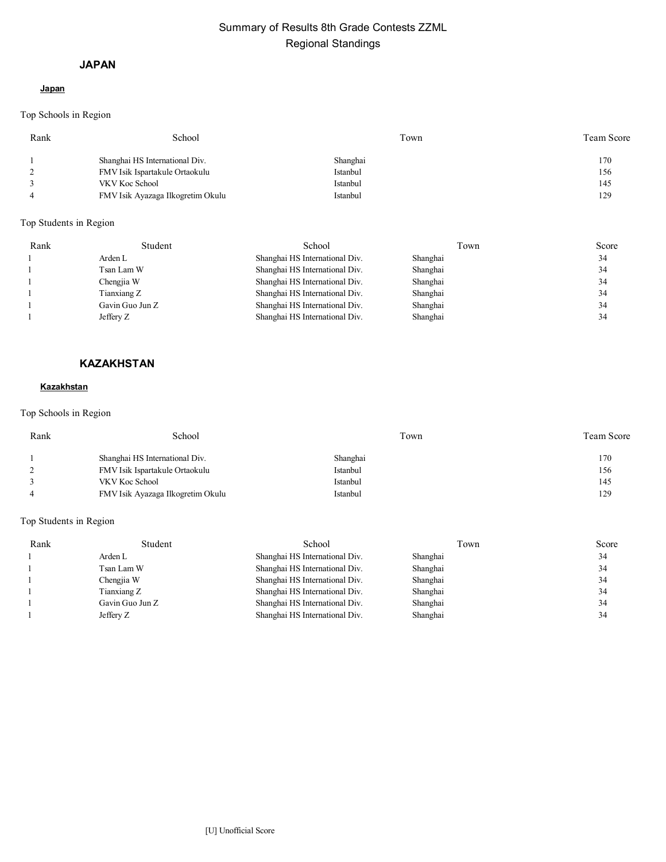# Summary of Results 8th Grade Contests ZZML Regional Standings

### **JAPAN**

### **Japan**

Top Schools in Region

| Rank | School                            | Town     | Team Score |
|------|-----------------------------------|----------|------------|
|      | Shanghai HS International Div.    | Shanghai | 170        |
|      | FMV Isik Ispartakule Ortaokulu    | Istanbul | 156        |
|      | VKV Koc School                    | Istanbul | 145        |
|      | FMV Isik Ayazaga Ilkogretim Okulu | Istanbul | 129        |
|      |                                   |          |            |

## Top Students in Region

| Rank | Student         | School                         | Town     | Score |
|------|-----------------|--------------------------------|----------|-------|
|      | Arden L         | Shanghai HS International Div. | Shanghai | 34    |
|      | Tsan Lam W      | Shanghai HS International Div. | Shanghai | 34    |
|      | Chengjia W      | Shanghai HS International Div. | Shanghai | 34    |
|      | Tianxiang Z     | Shanghai HS International Div. | Shanghai | 34    |
|      | Gavin Guo Jun Z | Shanghai HS International Div. | Shanghai | 34    |
|      | Jeffery Z       | Shanghai HS International Div. | Shanghai | 34    |

## **KAZAKHSTAN**

#### **Kazakhstan**

## Top Schools in Region

| Rank | School                            | Town     | <b>Team Score</b> |
|------|-----------------------------------|----------|-------------------|
|      | Shanghai HS International Div.    | Shanghai | 170               |
|      | FMV Isik Ispartakule Ortaokulu    | Istanbul | 156               |
|      | VKV Koc School                    | Istanbul | 145               |
|      | FMV Isik Ayazaga Ilkogretim Okulu | Istanbul | 129               |

| Rank | Student         | School                         | Town     | Score |
|------|-----------------|--------------------------------|----------|-------|
|      | Arden L         | Shanghai HS International Div. | Shanghai | 34    |
|      | Tsan Lam W      | Shanghai HS International Div. | Shanghai | 34    |
|      | Chengjia W      | Shanghai HS International Div. | Shanghai | 34    |
|      | Tianxiang Z     | Shanghai HS International Div. | Shanghai | 34    |
|      | Gavin Guo Jun Z | Shanghai HS International Div. | Shanghai | 34    |
|      | Jeffery Z       | Shanghai HS International Div. | Shanghai | 34    |